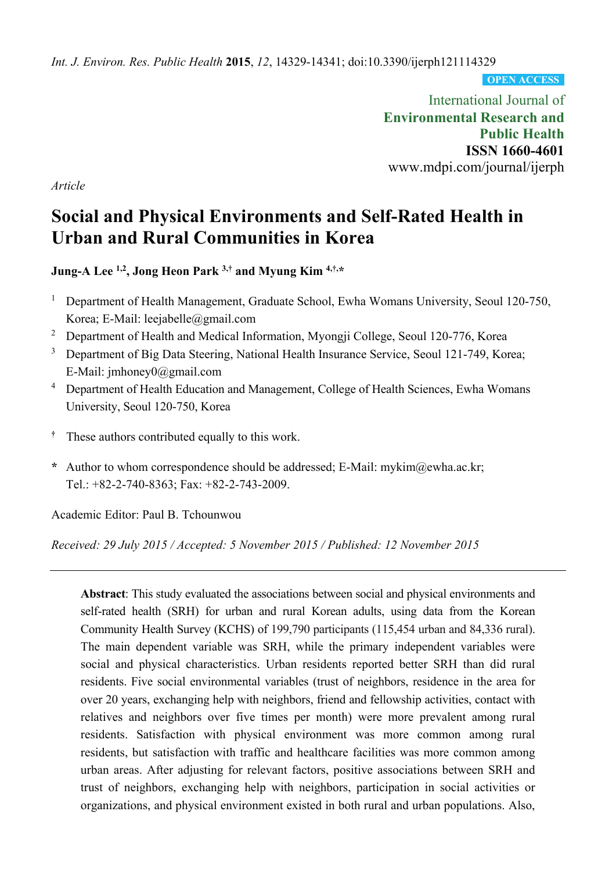*Int. J. Environ. Res. Public Health* **2015**, *12*, 14329-14341; doi:10.3390/ijerph121114329

**OPEN ACCESS**

International Journal of **Environmental Research and Public Health ISSN 1660-4601**  www.mdpi.com/journal/ijerph

*Article* 

# **Social and Physical Environments and Self-Rated Health in Urban and Rural Communities in Korea**

**Jung-A Lee 1,2, Jong Heon Park 3,† and Myung Kim 4,†,\*** 

- <sup>1</sup> Department of Health Management, Graduate School, Ewha Womans University, Seoul 120-750, Korea; E-Mail: leejabelle@gmail.com
- <sup>2</sup> Department of Health and Medical Information, Myongji College, Seoul 120-776, Korea
- <sup>3</sup> Department of Big Data Steering, National Health Insurance Service, Seoul 121-749, Korea; E-Mail: jmhoney0@gmail.com
- <sup>4</sup> Department of Health Education and Management, College of Health Sciences, Ewha Womans University, Seoul 120-750, Korea
- **†** These authors contributed equally to this work.
- **\*** Author to whom correspondence should be addressed; E-Mail: mykim@ewha.ac.kr; Tel.: +82-2-740-8363; Fax: +82-2-743-2009.

Academic Editor: Paul B. Tchounwou

*Received: 29 July 2015 / Accepted: 5 November 2015 / Published: 12 November 2015* 

**Abstract**: This study evaluated the associations between social and physical environments and self-rated health (SRH) for urban and rural Korean adults, using data from the Korean Community Health Survey (KCHS) of 199,790 participants (115,454 urban and 84,336 rural). The main dependent variable was SRH, while the primary independent variables were social and physical characteristics. Urban residents reported better SRH than did rural residents. Five social environmental variables (trust of neighbors, residence in the area for over 20 years, exchanging help with neighbors, friend and fellowship activities, contact with relatives and neighbors over five times per month) were more prevalent among rural residents. Satisfaction with physical environment was more common among rural residents, but satisfaction with traffic and healthcare facilities was more common among urban areas. After adjusting for relevant factors, positive associations between SRH and trust of neighbors, exchanging help with neighbors, participation in social activities or organizations, and physical environment existed in both rural and urban populations. Also,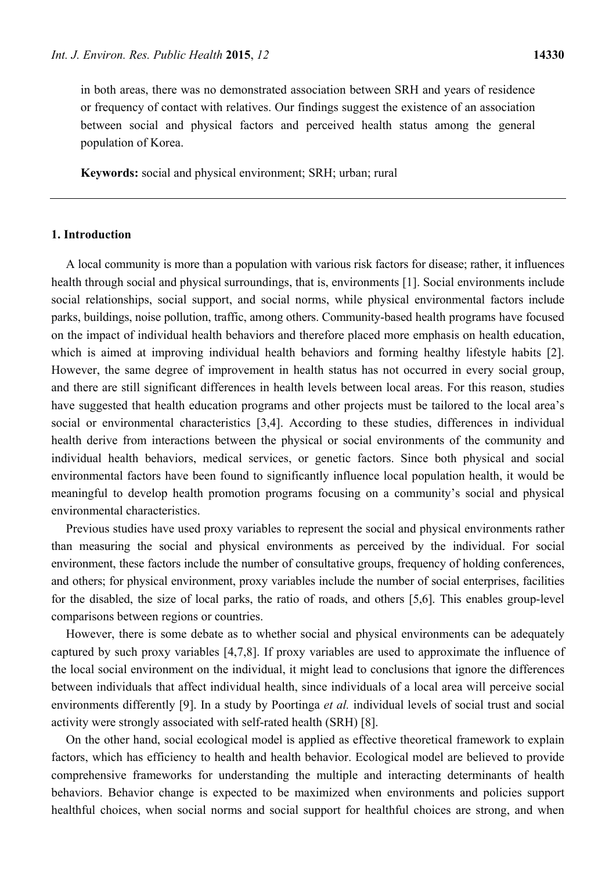in both areas, there was no demonstrated association between SRH and years of residence or frequency of contact with relatives. Our findings suggest the existence of an association between social and physical factors and perceived health status among the general population of Korea.

**Keywords:** social and physical environment; SRH; urban; rural

# **1. Introduction**

A local community is more than a population with various risk factors for disease; rather, it influences health through social and physical surroundings, that is, environments [1]. Social environments include social relationships, social support, and social norms, while physical environmental factors include parks, buildings, noise pollution, traffic, among others. Community-based health programs have focused on the impact of individual health behaviors and therefore placed more emphasis on health education, which is aimed at improving individual health behaviors and forming healthy lifestyle habits [2]. However, the same degree of improvement in health status has not occurred in every social group, and there are still significant differences in health levels between local areas. For this reason, studies have suggested that health education programs and other projects must be tailored to the local area's social or environmental characteristics [3,4]. According to these studies, differences in individual health derive from interactions between the physical or social environments of the community and individual health behaviors, medical services, or genetic factors. Since both physical and social environmental factors have been found to significantly influence local population health, it would be meaningful to develop health promotion programs focusing on a community's social and physical environmental characteristics.

Previous studies have used proxy variables to represent the social and physical environments rather than measuring the social and physical environments as perceived by the individual. For social environment, these factors include the number of consultative groups, frequency of holding conferences, and others; for physical environment, proxy variables include the number of social enterprises, facilities for the disabled, the size of local parks, the ratio of roads, and others [5,6]. This enables group-level comparisons between regions or countries.

However, there is some debate as to whether social and physical environments can be adequately captured by such proxy variables [4,7,8]. If proxy variables are used to approximate the influence of the local social environment on the individual, it might lead to conclusions that ignore the differences between individuals that affect individual health, since individuals of a local area will perceive social environments differently [9]. In a study by Poortinga *et al.* individual levels of social trust and social activity were strongly associated with self-rated health (SRH) [8].

On the other hand, social ecological model is applied as effective theoretical framework to explain factors, which has efficiency to health and health behavior. Ecological model are believed to provide comprehensive frameworks for understanding the multiple and interacting determinants of health behaviors. Behavior change is expected to be maximized when environments and policies support healthful choices, when social norms and social support for healthful choices are strong, and when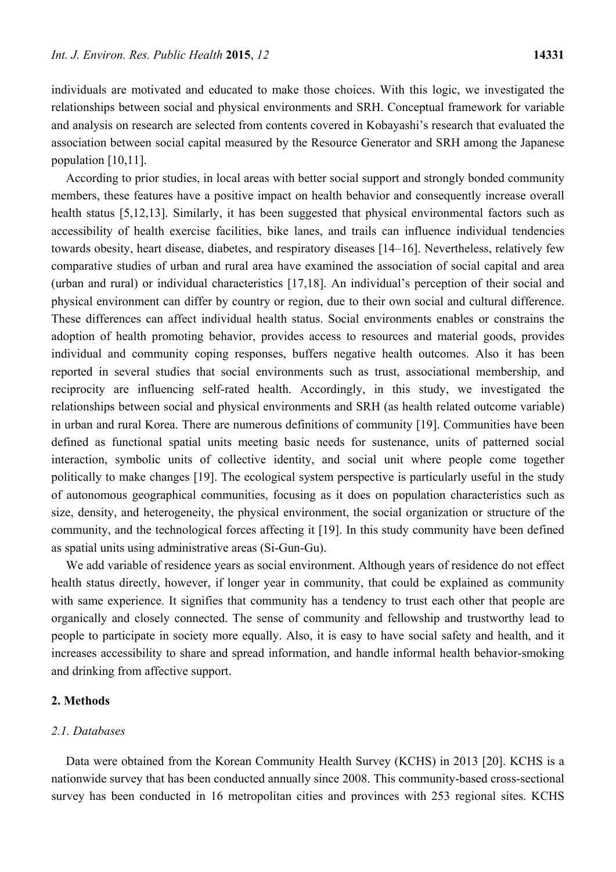individuals are motivated and educated to make those choices. With this logic, we investigated the relationships between social and physical environments and SRH. Conceptual framework for variable and analysis on research are selected from contents covered in Kobayashi's research that evaluated the association between social capital measured by the Resource Generator and SRH among the Japanese population [10,11].

According to prior studies, in local areas with better social support and strongly bonded community members, these features have a positive impact on health behavior and consequently increase overall health status [5,12,13]. Similarly, it has been suggested that physical environmental factors such as accessibility of health exercise facilities, bike lanes, and trails can influence individual tendencies towards obesity, heart disease, diabetes, and respiratory diseases [14–16]. Nevertheless, relatively few comparative studies of urban and rural area have examined the association of social capital and area (urban and rural) or individual characteristics [17,18]. An individual's perception of their social and physical environment can differ by country or region, due to their own social and cultural difference. These differences can affect individual health status. Social environments enables or constrains the adoption of health promoting behavior, provides access to resources and material goods, provides individual and community coping responses, buffers negative health outcomes. Also it has been reported in several studies that social environments such as trust, associational membership, and reciprocity are influencing self-rated health. Accordingly, in this study, we investigated the relationships between social and physical environments and SRH (as health related outcome variable) in urban and rural Korea. There are numerous definitions of community [19]. Communities have been defined as functional spatial units meeting basic needs for sustenance, units of patterned social interaction, symbolic units of collective identity, and social unit where people come together politically to make changes [19]. The ecological system perspective is particularly useful in the study of autonomous geographical communities, focusing as it does on population characteristics such as size, density, and heterogeneity, the physical environment, the social organization or structure of the community, and the technological forces affecting it [19]. In this study community have been defined as spatial units using administrative areas (Si-Gun-Gu).

We add variable of residence years as social environment. Although years of residence do not effect health status directly, however, if longer year in community, that could be explained as community with same experience. It signifies that community has a tendency to trust each other that people are organically and closely connected. The sense of community and fellowship and trustworthy lead to people to participate in society more equally. Also, it is easy to have social safety and health, and it increases accessibility to share and spread information, and handle informal health behavior-smoking and drinking from affective support.

## **2. Methods**

## *2.1. Databases*

Data were obtained from the Korean Community Health Survey (KCHS) in 2013 [20]. KCHS is a nationwide survey that has been conducted annually since 2008. This community-based cross-sectional survey has been conducted in 16 metropolitan cities and provinces with 253 regional sites. KCHS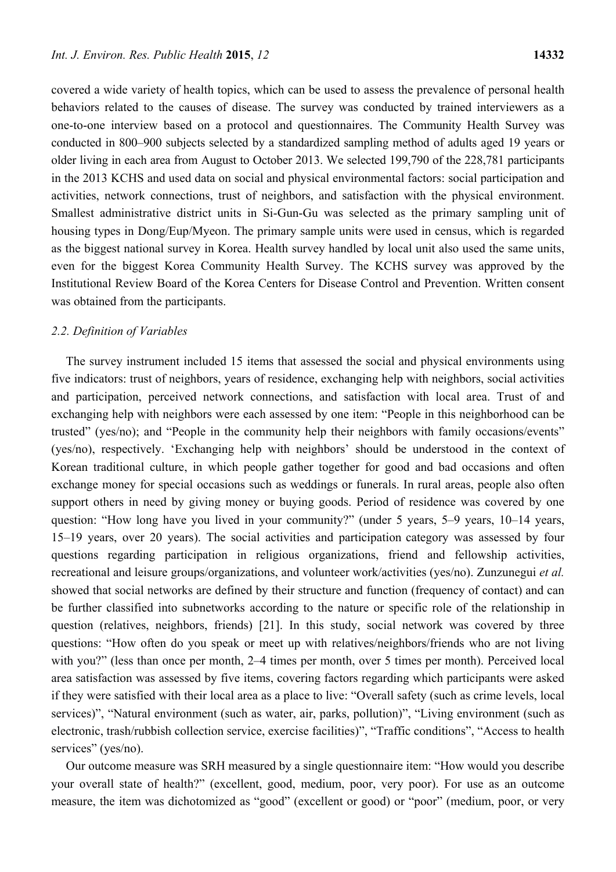covered a wide variety of health topics, which can be used to assess the prevalence of personal health behaviors related to the causes of disease. The survey was conducted by trained interviewers as a one-to-one interview based on a protocol and questionnaires. The Community Health Survey was conducted in 800–900 subjects selected by a standardized sampling method of adults aged 19 years or older living in each area from August to October 2013. We selected 199,790 of the 228,781 participants in the 2013 KCHS and used data on social and physical environmental factors: social participation and activities, network connections, trust of neighbors, and satisfaction with the physical environment. Smallest administrative district units in Si-Gun-Gu was selected as the primary sampling unit of housing types in Dong/Eup/Myeon. The primary sample units were used in census, which is regarded as the biggest national survey in Korea. Health survey handled by local unit also used the same units, even for the biggest Korea Community Health Survey. The KCHS survey was approved by the Institutional Review Board of the Korea Centers for Disease Control and Prevention. Written consent was obtained from the participants.

#### *2.2. Definition of Variables*

The survey instrument included 15 items that assessed the social and physical environments using five indicators: trust of neighbors, years of residence, exchanging help with neighbors, social activities and participation, perceived network connections, and satisfaction with local area. Trust of and exchanging help with neighbors were each assessed by one item: "People in this neighborhood can be trusted" (yes/no); and "People in the community help their neighbors with family occasions/events" (yes/no), respectively. 'Exchanging help with neighbors' should be understood in the context of Korean traditional culture, in which people gather together for good and bad occasions and often exchange money for special occasions such as weddings or funerals. In rural areas, people also often support others in need by giving money or buying goods. Period of residence was covered by one question: "How long have you lived in your community?" (under 5 years, 5–9 years, 10–14 years, 15–19 years, over 20 years). The social activities and participation category was assessed by four questions regarding participation in religious organizations, friend and fellowship activities, recreational and leisure groups/organizations, and volunteer work/activities (yes/no). Zunzunegui *et al.* showed that social networks are defined by their structure and function (frequency of contact) and can be further classified into subnetworks according to the nature or specific role of the relationship in question (relatives, neighbors, friends) [21]. In this study, social network was covered by three questions: "How often do you speak or meet up with relatives/neighbors/friends who are not living with you?" (less than once per month, 2–4 times per month, over 5 times per month). Perceived local area satisfaction was assessed by five items, covering factors regarding which participants were asked if they were satisfied with their local area as a place to live: "Overall safety (such as crime levels, local services)", "Natural environment (such as water, air, parks, pollution)", "Living environment (such as electronic, trash/rubbish collection service, exercise facilities)", "Traffic conditions", "Access to health services" (yes/no).

Our outcome measure was SRH measured by a single questionnaire item: "How would you describe your overall state of health?" (excellent, good, medium, poor, very poor). For use as an outcome measure, the item was dichotomized as "good" (excellent or good) or "poor" (medium, poor, or very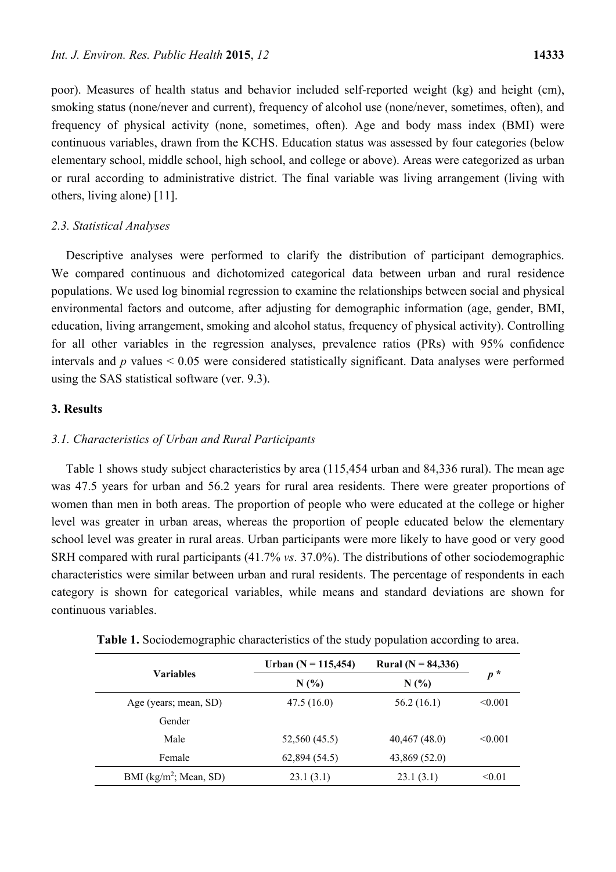poor). Measures of health status and behavior included self-reported weight (kg) and height (cm), smoking status (none/never and current), frequency of alcohol use (none/never, sometimes, often), and frequency of physical activity (none, sometimes, often). Age and body mass index (BMI) were continuous variables, drawn from the KCHS. Education status was assessed by four categories (below elementary school, middle school, high school, and college or above). Areas were categorized as urban or rural according to administrative district. The final variable was living arrangement (living with others, living alone) [11].

#### *2.3. Statistical Analyses*

Descriptive analyses were performed to clarify the distribution of participant demographics. We compared continuous and dichotomized categorical data between urban and rural residence populations. We used log binomial regression to examine the relationships between social and physical environmental factors and outcome, after adjusting for demographic information (age, gender, BMI, education, living arrangement, smoking and alcohol status, frequency of physical activity). Controlling for all other variables in the regression analyses, prevalence ratios (PRs) with 95% confidence intervals and *p* values < 0.05 were considered statistically significant. Data analyses were performed using the SAS statistical software (ver. 9.3).

#### **3. Results**

#### *3.1. Characteristics of Urban and Rural Participants*

Table 1 shows study subject characteristics by area (115,454 urban and 84,336 rural). The mean age was 47.5 years for urban and 56.2 years for rural area residents. There were greater proportions of women than men in both areas. The proportion of people who were educated at the college or higher level was greater in urban areas, whereas the proportion of people educated below the elementary school level was greater in rural areas. Urban participants were more likely to have good or very good SRH compared with rural participants (41.7% *vs*. 37.0%). The distributions of other sociodemographic characteristics were similar between urban and rural residents. The percentage of respondents in each category is shown for categorical variables, while means and standard deviations are shown for continuous variables.

|                                   | Urban (N = 115,454) | Rural ( $N = 84,336$ ) |         |  |
|-----------------------------------|---------------------|------------------------|---------|--|
| <b>Variables</b>                  | N(%)                | N(%)                   | $p^*$   |  |
| Age (years; mean, SD)             | 47.5(16.0)          | 56.2(16.1)             | < 0.001 |  |
| Gender                            |                     |                        |         |  |
| Male                              | 52,560 (45.5)       | 40,467 (48.0)          | < 0.001 |  |
| Female                            | 62,894 (54.5)       | 43,869 (52.0)          |         |  |
| BMI ( $\text{kg/m}^2$ ; Mean, SD) | 23.1(3.1)           | 23.1(3.1)              | < 0.01  |  |

**Table 1.** Sociodemographic characteristics of the study population according to area.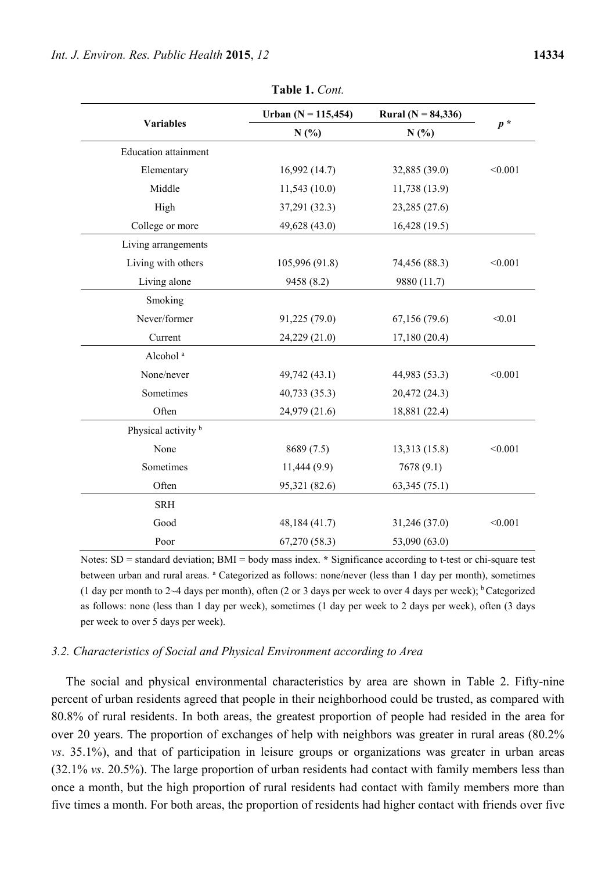|                                | Urban (N = 115,454) | <b>Rural</b> ( $N = 84,336$ ) |         |  |
|--------------------------------|---------------------|-------------------------------|---------|--|
| <b>Variables</b>               | N(%)                | N(%)                          | $p^*$   |  |
| <b>Education</b> attainment    |                     |                               |         |  |
| Elementary                     | 16,992(14.7)        | 32,885 (39.0)                 | < 0.001 |  |
| Middle                         | 11,543(10.0)        | 11,738 (13.9)                 |         |  |
| High                           | 37,291 (32.3)       | 23,285 (27.6)                 |         |  |
| College or more                | 49,628 (43.0)       | 16,428 (19.5)                 |         |  |
| Living arrangements            |                     |                               |         |  |
| Living with others             | 105,996 (91.8)      | 74,456 (88.3)                 | < 0.001 |  |
| Living alone                   | 9458 (8.2)          | 9880 (11.7)                   |         |  |
| Smoking                        |                     |                               |         |  |
| Never/former                   | 91,225 (79.0)       | 67,156 (79.6)                 | < 0.01  |  |
| Current                        | 24,229 (21.0)       | 17,180(20.4)                  |         |  |
| Alcohol <sup>a</sup>           |                     |                               |         |  |
| None/never                     | 49,742 (43.1)       | 44,983 (53.3)                 | < 0.001 |  |
| Sometimes                      | 40,733 (35.3)       | 20,472 (24.3)                 |         |  |
| Often                          | 24,979 (21.6)       | 18,881 (22.4)                 |         |  |
| Physical activity <sup>b</sup> |                     |                               |         |  |
| None                           | 8689 (7.5)          | 13,313 (15.8)                 | < 0.001 |  |
| Sometimes                      | 11,444 (9.9)        | 7678(9.1)                     |         |  |
| Often                          | 95,321 (82.6)       | 63,345(75.1)                  |         |  |
| <b>SRH</b>                     |                     |                               |         |  |
| Good                           | 48,184 (41.7)       | 31,246 (37.0)                 | < 0.001 |  |
| Poor                           | 67,270 (58.3)       | 53,090 (63.0)                 |         |  |

**Table 1.** *Cont.*

Notes: SD = standard deviation; BMI = body mass index. **\*** Significance according to t-test or chi-square test between urban and rural areas. <sup>a</sup> Categorized as follows: none/never (less than 1 day per month), sometimes (1 day per month to 2~4 days per month), often (2 or 3 days per week to over 4 days per week);  $\frac{b}{c}$  Categorized as follows: none (less than 1 day per week), sometimes (1 day per week to 2 days per week), often (3 days per week to over 5 days per week).

#### *3.2. Characteristics of Social and Physical Environment according to Area*

The social and physical environmental characteristics by area are shown in Table 2. Fifty-nine percent of urban residents agreed that people in their neighborhood could be trusted, as compared with 80.8% of rural residents. In both areas, the greatest proportion of people had resided in the area for over 20 years. The proportion of exchanges of help with neighbors was greater in rural areas (80.2% *vs*. 35.1%), and that of participation in leisure groups or organizations was greater in urban areas (32.1% *vs*. 20.5%). The large proportion of urban residents had contact with family members less than once a month, but the high proportion of rural residents had contact with family members more than five times a month. For both areas, the proportion of residents had higher contact with friends over five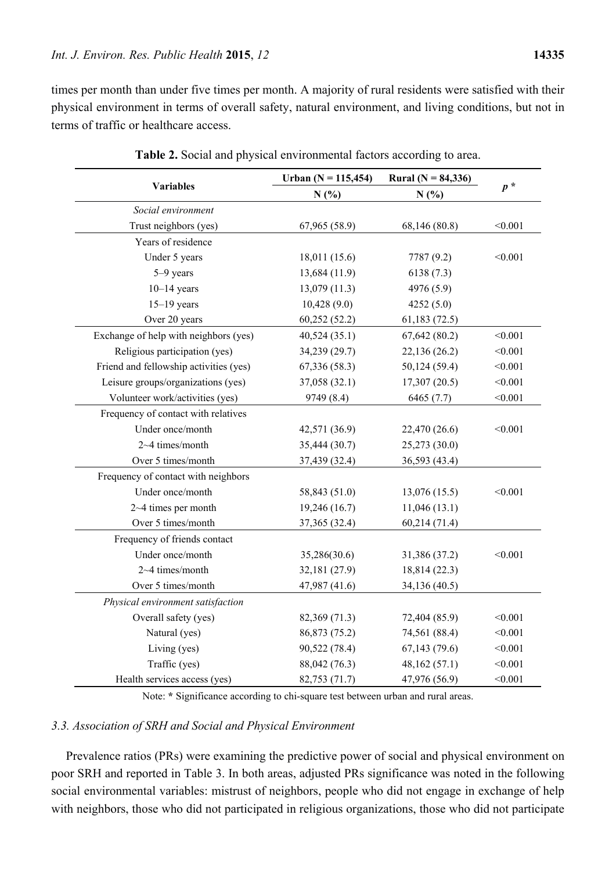times per month than under five times per month. A majority of rural residents were satisfied with their physical environment in terms of overall safety, natural environment, and living conditions, but not in terms of traffic or healthcare access.

|                                        | Urban ( $N = 115,454$ ) | Rural ( $N = 84,336$ ) |         |  |
|----------------------------------------|-------------------------|------------------------|---------|--|
| <b>Variables</b>                       | N(%)                    | N(%)                   | $p^*$   |  |
| Social environment                     |                         |                        |         |  |
| Trust neighbors (yes)                  | 67,965 (58.9)           | 68,146 (80.8)          | < 0.001 |  |
| Years of residence                     |                         |                        |         |  |
| Under 5 years                          | 18,011 (15.6)           | 7787 (9.2)             | < 0.001 |  |
| 5-9 years                              | 13,684 (11.9)           | 6138(7.3)              |         |  |
| $10-14$ years                          | 13,079 (11.3)           | 4976 (5.9)             |         |  |
| $15-19$ years                          | 10,428(9.0)             | 4252(5.0)              |         |  |
| Over 20 years                          | 60,252(52.2)            | 61,183(72.5)           |         |  |
| Exchange of help with neighbors (yes)  | 40,524(35.1)            | 67,642(80.2)           | < 0.001 |  |
| Religious participation (yes)          | 34,239 (29.7)           | 22,136 (26.2)          | < 0.001 |  |
| Friend and fellowship activities (yes) | 67,336(58.3)            | 50,124 (59.4)          | < 0.001 |  |
| Leisure groups/organizations (yes)     | 37,058 (32.1)           | 17,307(20.5)           | < 0.001 |  |
| Volunteer work/activities (yes)        | 9749 (8.4)              | 6465 (7.7)             | < 0.001 |  |
| Frequency of contact with relatives    |                         |                        |         |  |
| Under once/month                       | 42,571 (36.9)           | 22,470 (26.6)          | < 0.001 |  |
| 2~4 times/month                        | 35,444 (30.7)           | 25,273 (30.0)          |         |  |
| Over 5 times/month                     | 37,439 (32.4)           | 36,593 (43.4)          |         |  |
| Frequency of contact with neighbors    |                         |                        |         |  |
| Under once/month                       | 58,843 (51.0)           | 13,076 (15.5)          | < 0.001 |  |
| $2 - 4$ times per month                | 19,246 (16.7)           | 11,046(13.1)           |         |  |
| Over 5 times/month                     | 37,365 (32.4)           | 60,214(71.4)           |         |  |
| Frequency of friends contact           |                         |                        |         |  |
| Under once/month                       | 35,286(30.6)            | 31,386 (37.2)          | < 0.001 |  |
| 2~4 times/month                        | 32,181 (27.9)           | 18,814 (22.3)          |         |  |
| Over 5 times/month                     | 47,987 (41.6)           | 34,136 (40.5)          |         |  |
| Physical environment satisfaction      |                         |                        |         |  |
| Overall safety (yes)                   | 82,369 (71.3)           | 72,404 (85.9)          | < 0.001 |  |
| Natural (yes)                          | 86,873 (75.2)           | 74,561 (88.4)          | < 0.001 |  |
| Living (yes)                           | 90,522 (78.4)           | 67,143(79.6)           | < 0.001 |  |
| Traffic (yes)                          | 88,042 (76.3)           | 48,162 (57.1)          | < 0.001 |  |
| Health services access (yes)           | 82,753 (71.7)           | 47,976 (56.9)          | < 0.001 |  |

|  |  |  | Table 2. Social and physical environmental factors according to area. |
|--|--|--|-----------------------------------------------------------------------|
|  |  |  |                                                                       |

Note: **\*** Significance according to chi-square test between urban and rural areas.

#### *3.3. Association of SRH and Social and Physical Environment*

Prevalence ratios (PRs) were examining the predictive power of social and physical environment on poor SRH and reported in Table 3. In both areas, adjusted PRs significance was noted in the following social environmental variables: mistrust of neighbors, people who did not engage in exchange of help with neighbors, those who did not participated in religious organizations, those who did not participate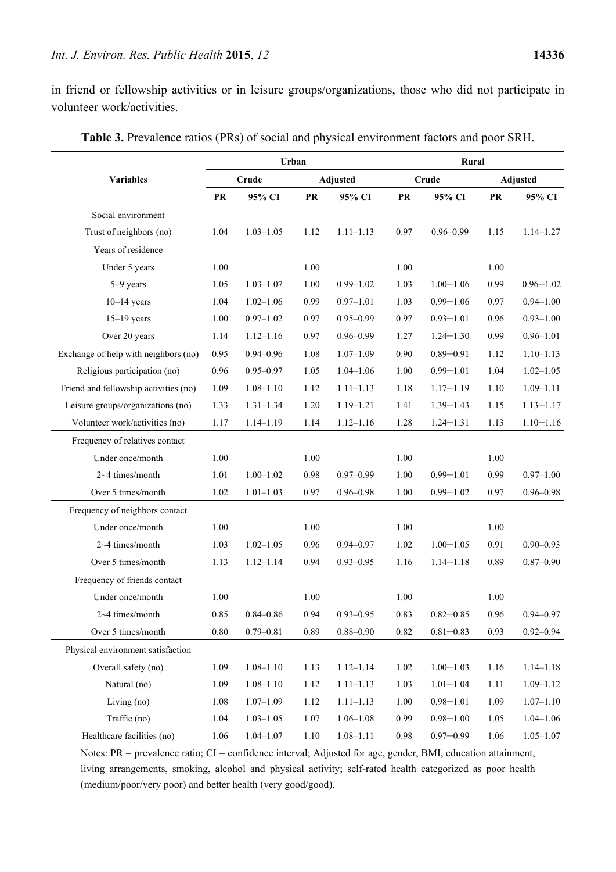in friend or fellowship activities or in leisure groups/organizations, those who did not participate in volunteer work/activities.

|                                       | Urban                    |               |          |               | Rural    |                 |      |               |
|---------------------------------------|--------------------------|---------------|----------|---------------|----------|-----------------|------|---------------|
| <b>Variables</b>                      | Crude<br><b>Adjusted</b> |               |          |               | Crude    | <b>Adjusted</b> |      |               |
|                                       | <b>PR</b>                | 95% CI        | PR       | 95% CI        | PR       | 95% CI          | PR   | 95% CI        |
| Social environment                    |                          |               |          |               |          |                 |      |               |
| Trust of neighbors (no)               | 1.04                     | $1.03 - 1.05$ | 1.12     | $1.11 - 1.13$ | 0.97     | $0.96 - 0.99$   | 1.15 | $1.14 - 1.27$ |
| Years of residence                    |                          |               |          |               |          |                 |      |               |
| Under 5 years                         | 1.00                     |               | 1.00     |               | 1.00     |                 | 1.00 |               |
| 5-9 years                             | 1.05                     | $1.03 - 1.07$ | 1.00     | $0.99 - 1.02$ | 1.03     | $1.00 - 1.06$   | 0.99 | $0.96 - 1.02$ |
| $10-14$ years                         | 1.04                     | $1.02 - 1.06$ | 0.99     | $0.97 - 1.01$ | 1.03     | $0.99 - 1.06$   | 0.97 | $0.94 - 1.00$ |
| $15-19$ years                         | 1.00                     | $0.97 - 1.02$ | 0.97     | $0.95 - 0.99$ | 0.97     | $0.93 - 1.01$   | 0.96 | $0.93 - 1.00$ |
| Over 20 years                         | 1.14                     | $1.12 - 1.16$ | 0.97     | $0.96 - 0.99$ | 1.27     | $1.24 - 1.30$   | 0.99 | $0.96 - 1.01$ |
| Exchange of help with neighbors (no)  | 0.95                     | $0.94 - 0.96$ | 1.08     | $1.07 - 1.09$ | 0.90     | $0.89 - 0.91$   | 1.12 | $1.10 - 1.13$ |
| Religious participation (no)          | 0.96                     | $0.95 - 0.97$ | 1.05     | $1.04 - 1.06$ | 1.00     | $0.99 - 1.01$   | 1.04 | $1.02 - 1.05$ |
| Friend and fellowship activities (no) | 1.09                     | $1.08 - 1.10$ | 1.12     | $1.11 - 1.13$ | 1.18     | $1.17 - 1.19$   | 1.10 | $1.09 - 1.11$ |
| Leisure groups/organizations (no)     | 1.33                     | $1.31 - 1.34$ | 1.20     | $1.19 - 1.21$ | 1.41     | $1.39 - 1.43$   | 1.15 | $1.13 - 1.17$ |
| Volunteer work/activities (no)        | 1.17                     | $1.14 - 1.19$ | 1.14     | $1.12 - 1.16$ | 1.28     | $1.24 - 1.31$   | 1.13 | $1.10 - 1.16$ |
| Frequency of relatives contact        |                          |               |          |               |          |                 |      |               |
| Under once/month                      | 1.00                     |               | 1.00     |               | 1.00     |                 | 1.00 |               |
| 2~4 times/month                       | 1.01                     | $1.00 - 1.02$ | 0.98     | $0.97 - 0.99$ | 1.00     | $0.99 - 1.01$   | 0.99 | $0.97 - 1.00$ |
| Over 5 times/month                    | 1.02                     | $1.01 - 1.03$ | 0.97     | $0.96 - 0.98$ | 1.00     | $0.99 - 1.02$   | 0.97 | $0.96 - 0.98$ |
| Frequency of neighbors contact        |                          |               |          |               |          |                 |      |               |
| Under once/month                      | 1.00                     |               | 1.00     |               | 1.00     |                 | 1.00 |               |
| 2~4 times/month                       | 1.03                     | $1.02 - 1.05$ | 0.96     | $0.94 - 0.97$ | 1.02     | $1.00 - 1.05$   | 0.91 | $0.90 - 0.93$ |
| Over 5 times/month                    | 1.13                     | $1.12 - 1.14$ | 0.94     | $0.93 - 0.95$ | 1.16     | $1.14 - 1.18$   | 0.89 | $0.87 - 0.90$ |
| Frequency of friends contact          |                          |               |          |               |          |                 |      |               |
| Under once/month                      | 1.00                     |               | 1.00     |               | 1.00     |                 | 1.00 |               |
| 2~4 times/month                       | 0.85                     | $0.84 - 0.86$ | 0.94     | $0.93 - 0.95$ | 0.83     | $0.82 - 0.85$   | 0.96 | $0.94 - 0.97$ |
| Over 5 times/month                    | 0.80                     | $0.79 - 0.81$ | 0.89     | $0.88 - 0.90$ | $0.82\,$ | $0.81 - 0.83$   | 0.93 | $0.92 - 0.94$ |
| Physical environment satisfaction     |                          |               |          |               |          |                 |      |               |
| Overall safety (no)                   | 1.09                     | $1.08 - 1.10$ | 1.13     | $1.12 - 1.14$ | 1.02     | $1.00 - 1.03$   | 1.16 | $1.14 - 1.18$ |
| Natural (no)                          | 1.09                     | $1.08 - 1.10$ | 1.12     | $1.11 - 1.13$ | 1.03     | $1.01 - 1.04$   | 1.11 | $1.09 - 1.12$ |
| Living (no)                           | 1.08                     | $1.07 - 1.09$ | 1.12     | $1.11 - 1.13$ | 1.00     | $0.98 - 1.01$   | 1.09 | $1.07 - 1.10$ |
| Traffic (no)                          | 1.04                     | $1.03 - 1.05$ | 1.07     | $1.06 - 1.08$ | 0.99     | $0.98 - 1.00$   | 1.05 | $1.04 - 1.06$ |
| Healthcare facilities (no)            | 1.06                     | $1.04 - 1.07$ | $1.10\,$ | $1.08 - 1.11$ | 0.98     | $0.97 - 0.99$   | 1.06 | $1.05 - 1.07$ |

**Table 3.** Prevalence ratios (PRs) of social and physical environment factors and poor SRH.

Notes: PR = prevalence ratio; CI = confidence interval; Adjusted for age, gender, BMI, education attainment, living arrangements, smoking, alcohol and physical activity; self-rated health categorized as poor health (medium/poor/very poor) and better health (very good/good).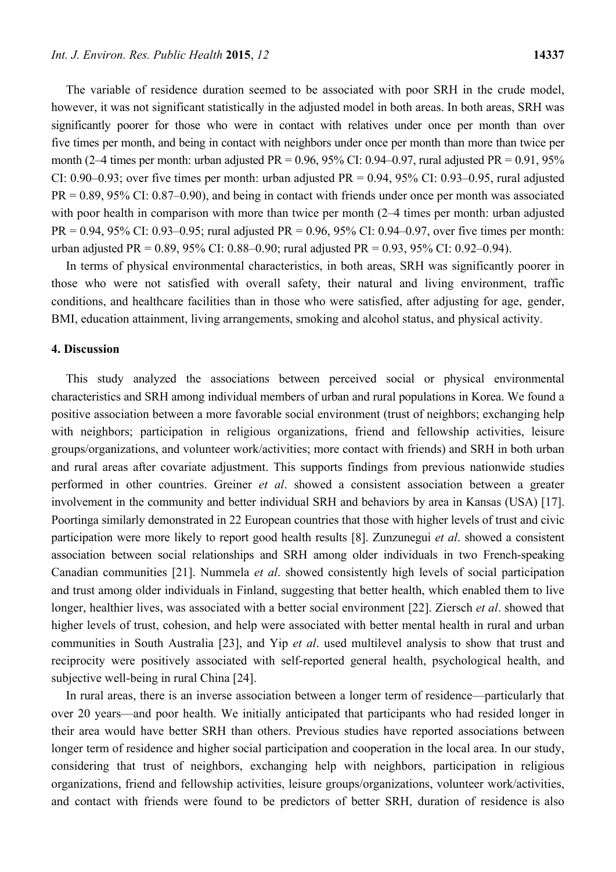The variable of residence duration seemed to be associated with poor SRH in the crude model, however, it was not significant statistically in the adjusted model in both areas. In both areas, SRH was significantly poorer for those who were in contact with relatives under once per month than over five times per month, and being in contact with neighbors under once per month than more than twice per month (2–4 times per month: urban adjusted PR =  $0.96$ ,  $95\%$  CI:  $0.94$ – $0.97$ , rural adjusted PR =  $0.91$ ,  $95\%$ CI:  $0.90-0.93$ ; over five times per month: urban adjusted PR =  $0.94$ ,  $95\%$  CI:  $0.93-0.95$ , rural adjusted PR = 0.89, 95% CI: 0.87–0.90), and being in contact with friends under once per month was associated with poor health in comparison with more than twice per month (2–4 times per month: urban adjusted  $PR = 0.94$ , 95% CI: 0.93–0.95; rural adjusted  $PR = 0.96$ , 95% CI: 0.94–0.97, over five times per month: urban adjusted PR = 0.89, 95% CI: 0.88–0.90; rural adjusted PR = 0.93, 95% CI: 0.92–0.94).

In terms of physical environmental characteristics, in both areas, SRH was significantly poorer in those who were not satisfied with overall safety, their natural and living environment, traffic conditions, and healthcare facilities than in those who were satisfied, after adjusting for age, gender, BMI, education attainment, living arrangements, smoking and alcohol status, and physical activity.

#### **4. Discussion**

This study analyzed the associations between perceived social or physical environmental characteristics and SRH among individual members of urban and rural populations in Korea. We found a positive association between a more favorable social environment (trust of neighbors; exchanging help with neighbors; participation in religious organizations, friend and fellowship activities, leisure groups/organizations, and volunteer work/activities; more contact with friends) and SRH in both urban and rural areas after covariate adjustment. This supports findings from previous nationwide studies performed in other countries. Greiner *et al*. showed a consistent association between a greater involvement in the community and better individual SRH and behaviors by area in Kansas (USA) [17]. Poortinga similarly demonstrated in 22 European countries that those with higher levels of trust and civic participation were more likely to report good health results [8]. Zunzunegui *et al*. showed a consistent association between social relationships and SRH among older individuals in two French-speaking Canadian communities [21]. Nummela *et al*. showed consistently high levels of social participation and trust among older individuals in Finland, suggesting that better health, which enabled them to live longer, healthier lives, was associated with a better social environment [22]. Ziersch *et al*. showed that higher levels of trust, cohesion, and help were associated with better mental health in rural and urban communities in South Australia [23], and Yip *et al*. used multilevel analysis to show that trust and reciprocity were positively associated with self-reported general health, psychological health, and subjective well-being in rural China [24].

In rural areas, there is an inverse association between a longer term of residence—particularly that over 20 years—and poor health. We initially anticipated that participants who had resided longer in their area would have better SRH than others. Previous studies have reported associations between longer term of residence and higher social participation and cooperation in the local area. In our study, considering that trust of neighbors, exchanging help with neighbors, participation in religious organizations, friend and fellowship activities, leisure groups/organizations, volunteer work/activities, and contact with friends were found to be predictors of better SRH, duration of residence is also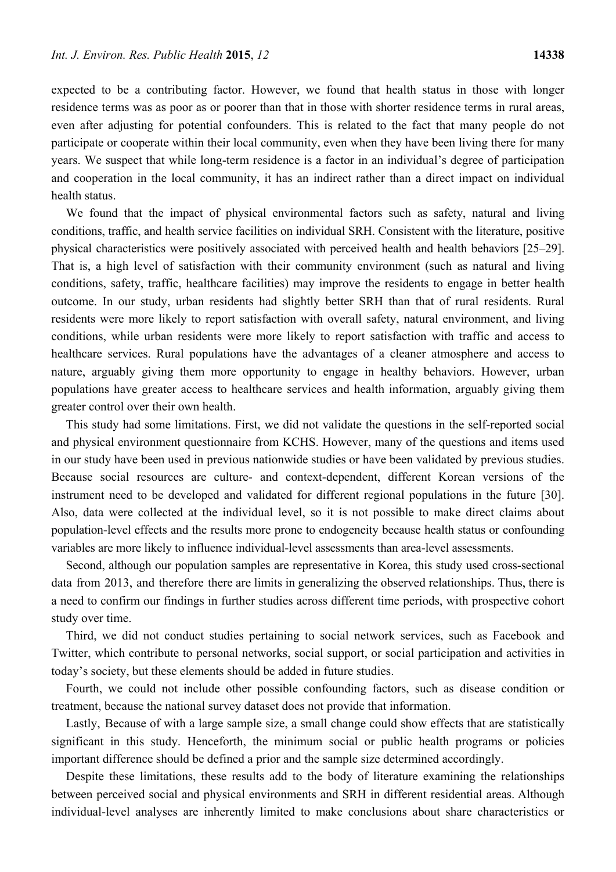expected to be a contributing factor. However, we found that health status in those with longer residence terms was as poor as or poorer than that in those with shorter residence terms in rural areas, even after adjusting for potential confounders. This is related to the fact that many people do not participate or cooperate within their local community, even when they have been living there for many years. We suspect that while long-term residence is a factor in an individual's degree of participation and cooperation in the local community, it has an indirect rather than a direct impact on individual health status.

We found that the impact of physical environmental factors such as safety, natural and living conditions, traffic, and health service facilities on individual SRH. Consistent with the literature, positive physical characteristics were positively associated with perceived health and health behaviors [25–29]. That is, a high level of satisfaction with their community environment (such as natural and living conditions, safety, traffic, healthcare facilities) may improve the residents to engage in better health outcome. In our study, urban residents had slightly better SRH than that of rural residents. Rural residents were more likely to report satisfaction with overall safety, natural environment, and living conditions, while urban residents were more likely to report satisfaction with traffic and access to healthcare services. Rural populations have the advantages of a cleaner atmosphere and access to nature, arguably giving them more opportunity to engage in healthy behaviors. However, urban populations have greater access to healthcare services and health information, arguably giving them greater control over their own health.

This study had some limitations. First, we did not validate the questions in the self-reported social and physical environment questionnaire from KCHS. However, many of the questions and items used in our study have been used in previous nationwide studies or have been validated by previous studies. Because social resources are culture- and context-dependent, different Korean versions of the instrument need to be developed and validated for different regional populations in the future [30]. Also, data were collected at the individual level, so it is not possible to make direct claims about population-level effects and the results more prone to endogeneity because health status or confounding variables are more likely to influence individual-level assessments than area-level assessments.

Second, although our population samples are representative in Korea, this study used cross-sectional data from 2013, and therefore there are limits in generalizing the observed relationships. Thus, there is a need to confirm our findings in further studies across different time periods, with prospective cohort study over time.

Third, we did not conduct studies pertaining to social network services, such as Facebook and Twitter, which contribute to personal networks, social support, or social participation and activities in today's society, but these elements should be added in future studies.

Fourth, we could not include other possible confounding factors, such as disease condition or treatment, because the national survey dataset does not provide that information.

Lastly, Because of with a large sample size, a small change could show effects that are statistically significant in this study. Henceforth, the minimum social or public health programs or policies important difference should be defined a prior and the sample size determined accordingly.

Despite these limitations, these results add to the body of literature examining the relationships between perceived social and physical environments and SRH in different residential areas. Although individual-level analyses are inherently limited to make conclusions about share characteristics or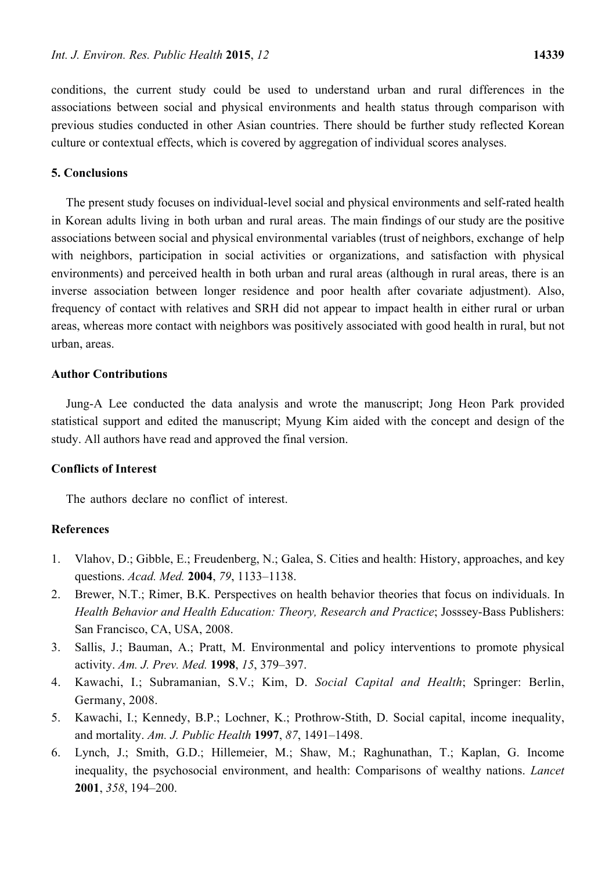conditions, the current study could be used to understand urban and rural differences in the associations between social and physical environments and health status through comparison with previous studies conducted in other Asian countries. There should be further study reflected Korean culture or contextual effects, which is covered by aggregation of individual scores analyses.

#### **5. Conclusions**

The present study focuses on individual-level social and physical environments and self-rated health in Korean adults living in both urban and rural areas. The main findings of our study are the positive associations between social and physical environmental variables (trust of neighbors, exchange of help with neighbors, participation in social activities or organizations, and satisfaction with physical environments) and perceived health in both urban and rural areas (although in rural areas, there is an inverse association between longer residence and poor health after covariate adjustment). Also, frequency of contact with relatives and SRH did not appear to impact health in either rural or urban areas, whereas more contact with neighbors was positively associated with good health in rural, but not urban, areas.

## **Author Contributions**

Jung-A Lee conducted the data analysis and wrote the manuscript; Jong Heon Park provided statistical support and edited the manuscript; Myung Kim aided with the concept and design of the study. All authors have read and approved the final version.

## **Conflicts of Interest**

The authors declare no conflict of interest.

## **References**

- 1. Vlahov, D.; Gibble, E.; Freudenberg, N.; Galea, S. Cities and health: History, approaches, and key questions. *Acad. Med.* **2004**, *79*, 1133–1138.
- 2. Brewer, N.T.; Rimer, B.K. Perspectives on health behavior theories that focus on individuals. In *Health Behavior and Health Education: Theory, Research and Practice*; Josssey-Bass Publishers: San Francisco, CA, USA, 2008.
- 3. Sallis, J.; Bauman, A.; Pratt, M. Environmental and policy interventions to promote physical activity. *Am. J. Prev. Med.* **1998**, *15*, 379–397.
- 4. Kawachi, I.; Subramanian, S.V.; Kim, D. *Social Capital and Health*; Springer: Berlin, Germany, 2008.
- 5. Kawachi, I.; Kennedy, B.P.; Lochner, K.; Prothrow-Stith, D. Social capital, income inequality, and mortality. *Am. J. Public Health* **1997**, *87*, 1491–1498.
- 6. Lynch, J.; Smith, G.D.; Hillemeier, M.; Shaw, M.; Raghunathan, T.; Kaplan, G. Income inequality, the psychosocial environment, and health: Comparisons of wealthy nations. *Lancet*  **2001**, *358*, 194–200.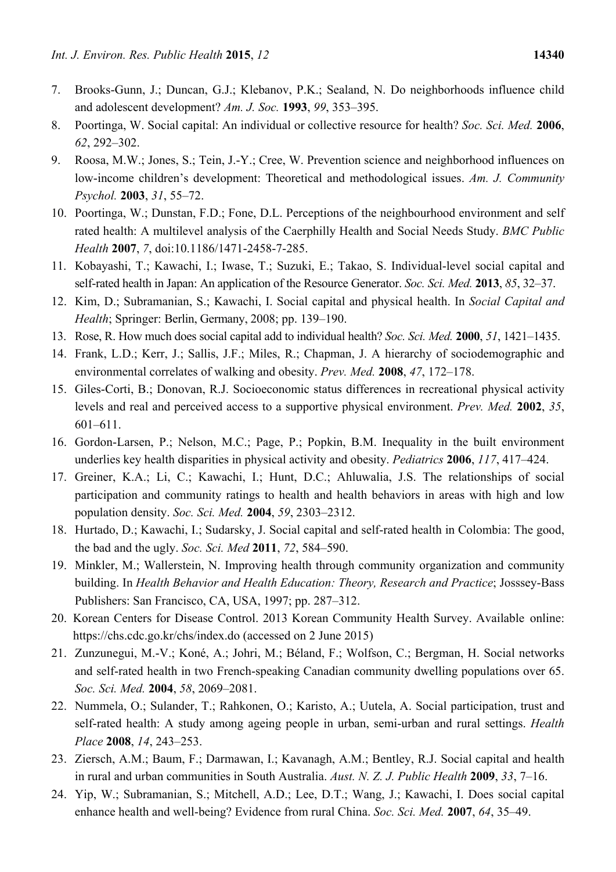- 7. Brooks-Gunn, J.; Duncan, G.J.; Klebanov, P.K.; Sealand, N. Do neighborhoods influence child and adolescent development? *Am. J. Soc.* **1993**, *99*, 353–395.
- 8. Poortinga, W. Social capital: An individual or collective resource for health? *Soc. Sci. Med.* **2006**, *62*, 292–302.
- 9. Roosa, M.W.; Jones, S.; Tein, J.-Y.; Cree, W. Prevention science and neighborhood influences on low-income children's development: Theoretical and methodological issues. *Am. J. Community Psychol.* **2003**, *31*, 55–72.
- 10. Poortinga, W.; Dunstan, F.D.; Fone, D.L. Perceptions of the neighbourhood environment and self rated health: A multilevel analysis of the Caerphilly Health and Social Needs Study. *BMC Public Health* **2007**, *7*, doi:10.1186/1471-2458-7-285.
- 11. Kobayashi, T.; Kawachi, I.; Iwase, T.; Suzuki, E.; Takao, S. Individual-level social capital and self-rated health in Japan: An application of the Resource Generator. *Soc. Sci. Med.* **2013**, *85*, 32–37.
- 12. Kim, D.; Subramanian, S.; Kawachi, I. Social capital and physical health. In *Social Capital and Health*; Springer: Berlin, Germany, 2008; pp. 139–190.
- 13. Rose, R. How much does social capital add to individual health? *Soc. Sci. Med.* **2000**, *51*, 1421–1435.
- 14. Frank, L.D.; Kerr, J.; Sallis, J.F.; Miles, R.; Chapman, J. A hierarchy of sociodemographic and environmental correlates of walking and obesity. *Prev. Med.* **2008**, *47*, 172–178.
- 15. Giles-Corti, B.; Donovan, R.J. Socioeconomic status differences in recreational physical activity levels and real and perceived access to a supportive physical environment. *Prev. Med.* **2002**, *35*, 601–611.
- 16. Gordon-Larsen, P.; Nelson, M.C.; Page, P.; Popkin, B.M. Inequality in the built environment underlies key health disparities in physical activity and obesity. *Pediatrics* **2006**, *117*, 417–424.
- 17. Greiner, K.A.; Li, C.; Kawachi, I.; Hunt, D.C.; Ahluwalia, J.S. The relationships of social participation and community ratings to health and health behaviors in areas with high and low population density. *Soc. Sci. Med.* **2004**, *59*, 2303–2312.
- 18. Hurtado, D.; Kawachi, I.; Sudarsky, J. Social capital and self-rated health in Colombia: The good, the bad and the ugly. *Soc. Sci. Med* **2011**, *72*, 584–590.
- 19. Minkler, M.; Wallerstein, N. Improving health through community organization and community building. In *Health Behavior and Health Education: Theory, Research and Practice*; Josssey-Bass Publishers: San Francisco, CA, USA, 1997; pp. 287–312.
- 20. Korean Centers for Disease Control. 2013 Korean Community Health Survey. Available online: https://chs.cdc.go.kr/chs/index.do (accessed on 2 June 2015)
- 21. Zunzunegui, M.-V.; Koné, A.; Johri, M.; Béland, F.; Wolfson, C.; Bergman, H. Social networks and self-rated health in two French-speaking Canadian community dwelling populations over 65. *Soc. Sci. Med.* **2004**, *58*, 2069–2081.
- 22. Nummela, O.; Sulander, T.; Rahkonen, O.; Karisto, A.; Uutela, A. Social participation, trust and self-rated health: A study among ageing people in urban, semi-urban and rural settings. *Health Place* **2008**, *14*, 243–253.
- 23. Ziersch, A.M.; Baum, F.; Darmawan, I.; Kavanagh, A.M.; Bentley, R.J. Social capital and health in rural and urban communities in South Australia. *Aust. N. Z. J. Public Health* **2009**, *33*, 7–16.
- 24. Yip, W.; Subramanian, S.; Mitchell, A.D.; Lee, D.T.; Wang, J.; Kawachi, I. Does social capital enhance health and well-being? Evidence from rural China. *Soc. Sci. Med.* **2007**, *64*, 35–49.